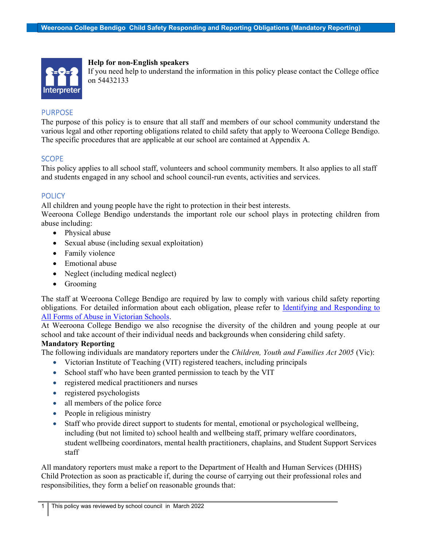

Help for non-English speakers

If you need help to understand the information in this policy please contact the College office on 54432133

# PURPOSE

The purpose of this policy is to ensure that all staff and members of our school community understand the various legal and other reporting obligations related to child safety that apply to Weeroona College Bendigo. The specific procedures that are applicable at our school are contained at Appendix A.

# **SCOPE**

This policy applies to all school staff, volunteers and school community members. It also applies to all staff and students engaged in any school and school council-run events, activities and services.

# **POLICY**

All children and young people have the right to protection in their best interests.

Weeroona College Bendigo understands the important role our school plays in protecting children from abuse including:

- Physical abuse
- Sexual abuse (including sexual exploitation)
- Family violence
- Emotional abuse
- Neglect (including medical neglect)
- Grooming

The staff at Weeroona College Bendigo are required by law to comply with various child safety reporting obligations. For detailed information about each obligation, please refer to **Identifying and Responding to** All Forms of Abuse in Victorian Schools.

At Weeroona College Bendigo we also recognise the diversity of the children and young people at our school and take account of their individual needs and backgrounds when considering child safety.

# Mandatory Reporting

The following individuals are mandatory reporters under the Children, Youth and Families Act 2005 (Vic):

- Victorian Institute of Teaching (VIT) registered teachers, including principals
- School staff who have been granted permission to teach by the VIT
- registered medical practitioners and nurses
- registered psychologists
- all members of the police force
- People in religious ministry
- Staff who provide direct support to students for mental, emotional or psychological wellbeing, including (but not limited to) school health and wellbeing staff, primary welfare coordinators, student wellbeing coordinators, mental health practitioners, chaplains, and Student Support Services staff

All mandatory reporters must make a report to the Department of Health and Human Services (DHHS) Child Protection as soon as practicable if, during the course of carrying out their professional roles and responsibilities, they form a belief on reasonable grounds that: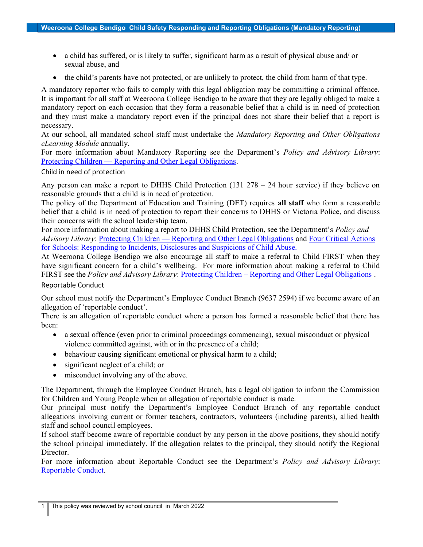- a child has suffered, or is likely to suffer, significant harm as a result of physical abuse and/ or sexual abuse, and
- the child's parents have not protected, or are unlikely to protect, the child from harm of that type.

A mandatory reporter who fails to comply with this legal obligation may be committing a criminal offence. It is important for all staff at Weeroona College Bendigo to be aware that they are legally obliged to make a mandatory report on each occasion that they form a reasonable belief that a child is in need of protection and they must make a mandatory report even if the principal does not share their belief that a report is necessary.

At our school, all mandated school staff must undertake the Mandatory Reporting and Other Obligations eLearning Module annually.

For more information about Mandatory Reporting see the Department's *Policy and Advisory Library*: Protecting Children — Reporting and Other Legal Obligations.

### Child in need of protection

Any person can make a report to DHHS Child Protection (131 278 – 24 hour service) if they believe on reasonable grounds that a child is in need of protection.

The policy of the Department of Education and Training (DET) requires all staff who form a reasonable belief that a child is in need of protection to report their concerns to DHHS or Victoria Police, and discuss their concerns with the school leadership team.

For more information about making a report to DHHS Child Protection, see the Department's *Policy and* Advisory Library: Protecting Children — Reporting and Other Legal Obligations and Four Critical Actions for Schools: Responding to Incidents, Disclosures and Suspicions of Child Abuse.

At Weeroona College Bendigo we also encourage all staff to make a referral to Child FIRST when they have significant concern for a child's wellbeing. For more information about making a referral to Child FIRST see the *Policy and Advisory Library*: Protecting Children – Reporting and Other Legal Obligations.

## Reportable Conduct

Our school must notify the Department's Employee Conduct Branch (9637 2594) if we become aware of an allegation of 'reportable conduct'.

There is an allegation of reportable conduct where a person has formed a reasonable belief that there has been:

- a sexual offence (even prior to criminal proceedings commencing), sexual misconduct or physical violence committed against, with or in the presence of a child;
- behaviour causing significant emotional or physical harm to a child;
- significant neglect of a child; or
- misconduct involving any of the above.

The Department, through the Employee Conduct Branch, has a legal obligation to inform the Commission for Children and Young People when an allegation of reportable conduct is made.

Our principal must notify the Department's Employee Conduct Branch of any reportable conduct allegations involving current or former teachers, contractors, volunteers (including parents), allied health staff and school council employees.

If school staff become aware of reportable conduct by any person in the above positions, they should notify the school principal immediately. If the allegation relates to the principal, they should notify the Regional Director.

For more information about Reportable Conduct see the Department's Policy and Advisory Library: Reportable Conduct.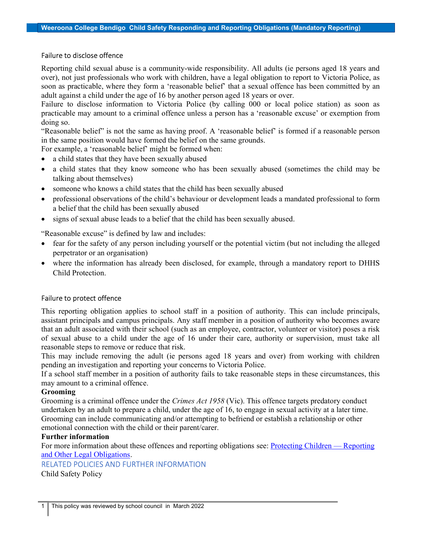#### Failure to disclose offence

Reporting child sexual abuse is a community-wide responsibility. All adults (ie persons aged 18 years and over), not just professionals who work with children, have a legal obligation to report to Victoria Police, as soon as practicable, where they form a 'reasonable belief' that a sexual offence has been committed by an adult against a child under the age of 16 by another person aged 18 years or over.

Failure to disclose information to Victoria Police (by calling 000 or local police station) as soon as practicable may amount to a criminal offence unless a person has a 'reasonable excuse' or exemption from doing so.

"Reasonable belief" is not the same as having proof. A 'reasonable belief' is formed if a reasonable person in the same position would have formed the belief on the same grounds.

For example, a 'reasonable belief' might be formed when:

- a child states that they have been sexually abused
- a child states that they know someone who has been sexually abused (sometimes the child may be talking about themselves)
- someone who knows a child states that the child has been sexually abused
- professional observations of the child's behaviour or development leads a mandated professional to form a belief that the child has been sexually abused
- signs of sexual abuse leads to a belief that the child has been sexually abused.

"Reasonable excuse" is defined by law and includes:

- fear for the safety of any person including yourself or the potential victim (but not including the alleged perpetrator or an organisation)
- where the information has already been disclosed, for example, through a mandatory report to DHHS Child Protection.

### Failure to protect offence

This reporting obligation applies to school staff in a position of authority. This can include principals, assistant principals and campus principals. Any staff member in a position of authority who becomes aware that an adult associated with their school (such as an employee, contractor, volunteer or visitor) poses a risk of sexual abuse to a child under the age of 16 under their care, authority or supervision, must take all reasonable steps to remove or reduce that risk.

This may include removing the adult (ie persons aged 18 years and over) from working with children pending an investigation and reporting your concerns to Victoria Police.

If a school staff member in a position of authority fails to take reasonable steps in these circumstances, this may amount to a criminal offence.

#### Grooming

Grooming is a criminal offence under the *Crimes Act 1958* (Vic). This offence targets predatory conduct undertaken by an adult to prepare a child, under the age of 16, to engage in sexual activity at a later time. Grooming can include communicating and/or attempting to befriend or establish a relationship or other emotional connection with the child or their parent/carer.

#### Further information

For more information about these offences and reporting obligations see: Protecting Children — Reporting and Other Legal Obligations.

# RELATED POLICIES AND FURTHER INFORMATION

Child Safety Policy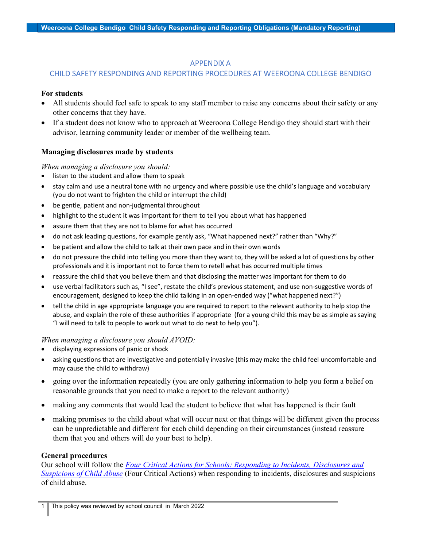## APPENDIX A

# CHILD SAFETY RESPONDING AND REPORTING PROCEDURES AT WEEROONA COLLEGE BENDIGO

## For students

- All students should feel safe to speak to any staff member to raise any concerns about their safety or any other concerns that they have.
- If a student does not know who to approach at Weeroona College Bendigo they should start with their advisor, learning community leader or member of the wellbeing team.

# Managing disclosures made by students

### When managing a disclosure you should:

- listen to the student and allow them to speak
- stay calm and use a neutral tone with no urgency and where possible use the child's language and vocabulary (you do not want to frighten the child or interrupt the child)
- be gentle, patient and non-judgmental throughout
- highlight to the student it was important for them to tell you about what has happened
- assure them that they are not to blame for what has occurred
- do not ask leading questions, for example gently ask, "What happened next?" rather than "Why?"
- be patient and allow the child to talk at their own pace and in their own words
- do not pressure the child into telling you more than they want to, they will be asked a lot of questions by other professionals and it is important not to force them to retell what has occurred multiple times
- reassure the child that you believe them and that disclosing the matter was important for them to do
- use verbal facilitators such as, "I see", restate the child's previous statement, and use non-suggestive words of encouragement, designed to keep the child talking in an open-ended way ("what happened next?")
- tell the child in age appropriate language you are required to report to the relevant authority to help stop the abuse, and explain the role of these authorities if appropriate (for a young child this may be as simple as saying "I will need to talk to people to work out what to do next to help you").

### When managing a disclosure you should AVOID:

- displaying expressions of panic or shock
- asking questions that are investigative and potentially invasive (this may make the child feel uncomfortable and may cause the child to withdraw)
- going over the information repeatedly (you are only gathering information to help you form a belief on reasonable grounds that you need to make a report to the relevant authority)
- making any comments that would lead the student to believe that what has happened is their fault
- making promises to the child about what will occur next or that things will be different given the process can be unpredictable and different for each child depending on their circumstances (instead reassure them that you and others will do your best to help).

### General procedures

Our school will follow the Four Critical Actions for Schools: Responding to Incidents, Disclosures and Suspicions of Child Abuse (Four Critical Actions) when responding to incidents, disclosures and suspicions of child abuse.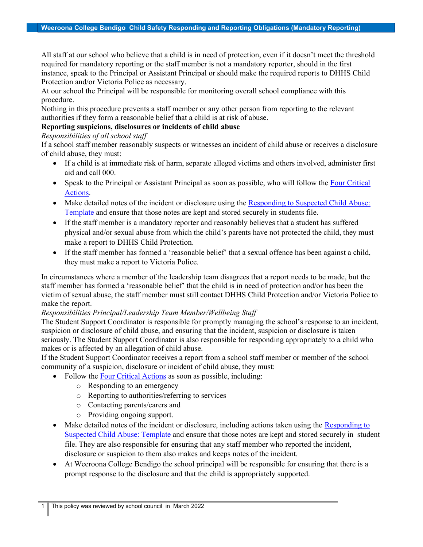All staff at our school who believe that a child is in need of protection, even if it doesn't meet the threshold required for mandatory reporting or the staff member is not a mandatory reporter, should in the first instance, speak to the Principal or Assistant Principal or should make the required reports to DHHS Child Protection and/or Victoria Police as necessary.

At our school the Principal will be responsible for monitoring overall school compliance with this procedure.

Nothing in this procedure prevents a staff member or any other person from reporting to the relevant authorities if they form a reasonable belief that a child is at risk of abuse.

## Reporting suspicions, disclosures or incidents of child abuse

Responsibilities of all school staff

If a school staff member reasonably suspects or witnesses an incident of child abuse or receives a disclosure of child abuse, they must:

- If a child is at immediate risk of harm, separate alleged victims and others involved, administer first aid and call 000.
- Speak to the Principal or Assistant Principal as soon as possible, who will follow the Four Critical Actions.
- Make detailed notes of the incident or disclosure using the Responding to Suspected Child Abuse: Template and ensure that those notes are kept and stored securely in students file.
- If the staff member is a mandatory reporter and reasonably believes that a student has suffered physical and/or sexual abuse from which the child's parents have not protected the child, they must make a report to DHHS Child Protection.
- If the staff member has formed a 'reasonable belief' that a sexual offence has been against a child, they must make a report to Victoria Police.

In circumstances where a member of the leadership team disagrees that a report needs to be made, but the staff member has formed a 'reasonable belief' that the child is in need of protection and/or has been the victim of sexual abuse, the staff member must still contact DHHS Child Protection and/or Victoria Police to make the report.

# Responsibilities Principal/Leadership Team Member/Wellbeing Staff

The Student Support Coordinator is responsible for promptly managing the school's response to an incident, suspicion or disclosure of child abuse, and ensuring that the incident, suspicion or disclosure is taken seriously. The Student Support Coordinator is also responsible for responding appropriately to a child who makes or is affected by an allegation of child abuse.

If the Student Support Coordinator receives a report from a school staff member or member of the school community of a suspicion, disclosure or incident of child abuse, they must:

- Follow the Four Critical Actions as soon as possible, including:
	- o Responding to an emergency
	- o Reporting to authorities/referring to services
	- o Contacting parents/carers and
	- o Providing ongoing support.
- Make detailed notes of the incident or disclosure, including actions taken using the Responding to Suspected Child Abuse: Template and ensure that those notes are kept and stored securely in student file. They are also responsible for ensuring that any staff member who reported the incident, disclosure or suspicion to them also makes and keeps notes of the incident.
- At Weeroona College Bendigo the school principal will be responsible for ensuring that there is a prompt response to the disclosure and that the child is appropriately supported.